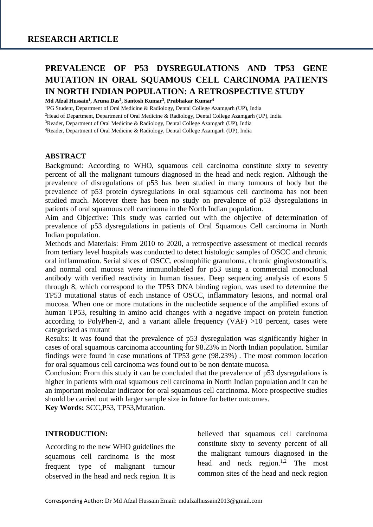# **PREVALENCE OF P53 DYSREGULATIONS AND TP53 GENE MUTATION IN ORAL SQUAMOUS CELL CARCINOMA PATIENTS IN NORTH INDIAN POPULATION: A RETROSPECTIVE STUDY**

**Md Afzal Hussain<sup>1</sup> , Aruna Das<sup>2</sup> , Santosh Kumar<sup>3</sup> , Prabhakar Kumar<sup>4</sup>**

<sup>1</sup>PG Student, Department of Oral Medicine & Radiology, Dental College Azamgarh (UP), India

<sup>2</sup>Head of Department, Department of Oral Medicine & Radiology, Dental College Azamgarh (UP), India

<sup>3</sup>Reader, Department of Oral Medicine & Radiology, Dental College Azamgarh (UP), India

<sup>4</sup>Reader, Department of Oral Medicine & Radiology, Dental College Azamgarh (UP), India

#### **ABSTRACT**

Background: According to WHO, squamous cell carcinoma constitute sixty to seventy percent of all the malignant tumours diagnosed in the head and neck region. Although the prevalence of disregulations of p53 has been studied in many tumours of body but the prevalence of p53 protein dysregulations in oral squamous cell carcinoma has not been studied much. Morever there has been no study on prevalence of p53 dysregulations in patients of oral squamous cell carcinoma in the North Indian population.

Aim and Objective: This study was carried out with the objective of determination of prevalence of p53 dysregulations in patients of Oral Squamous Cell carcinoma in North Indian population.

Methods and Materials: From 2010 to 2020, a retrospective assessment of medical records from tertiary level hospitals was conducted to detect histologic samples of OSCC and chronic oral inflammation. Serial slices of OSCC, eosinophilic granuloma, chronic gingivostomatitis, and normal oral mucosa were immunolabeled for p53 using a commercial monoclonal antibody with verified reactivity in human tissues. Deep sequencing analysis of exons 5 through 8, which correspond to the TP53 DNA binding region, was used to determine the TP53 mutational status of each instance of OSCC, inflammatory lesions, and normal oral mucosa. When one or more mutations in the nucleotide sequence of the amplified exons of human TP53, resulting in amino acid changes with a negative impact on protein function according to PolyPhen-2, and a variant allele frequency (VAF) >10 percent, cases were categorised as mutant

Results: It was found that the prevalence of p53 dysregulation was significantly higher in cases of oral squamous carcinoma accounting for 98.23% in North Indian population. Similar findings were found in case mutations of TP53 gene (98.23%) . The most common location for oral squamous cell carcinoma was found out to be non dentate mucosa.

Conclusion: From this study it can be concluded that the prevalence of p53 dysregulations is higher in patients with oral squamous cell carcinoma in North Indian population and it can be an important molecular indicator for oral squamous cell carcinoma. More prospective studies should be carried out with larger sample size in future for better outcomes.

**Key Words:** SCC,P53, TP53,Mutation.

#### **INTRODUCTION:**

According to the new WHO guidelines the squamous cell carcinoma is the most frequent type of malignant tumour observed in the head and neck region. It is believed that squamous cell carcinoma constitute sixty to seventy percent of all the malignant tumours diagnosed in the head and neck region.<sup>1,2</sup> The most common sites of the head and neck region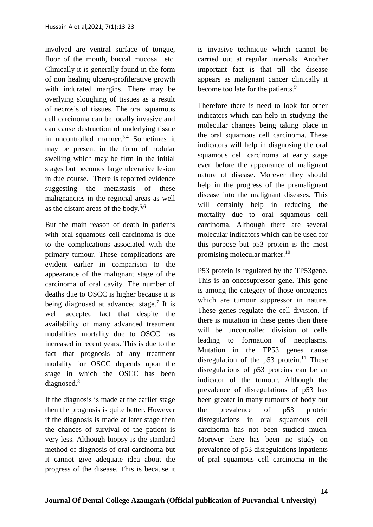involved are ventral surface of tongue, floor of the mouth, buccal mucosa etc. Clinically it is generally found in the form of non healing ulcero-profilerative growth with indurated margins. There may be overlying sloughing of tissues as a result of necrosis of tissues. The oral squamous cell carcinoma can be locally invasive and can cause destruction of underlying tissue in uncontrolled manner.<sup>3,4</sup> Sometimes it may be present in the form of nodular swelling which may be firm in the initial stages but becomes large ulcerative lesion in due course. There is reported evidence suggesting the metastasis of these malignancies in the regional areas as well as the distant areas of the body.<sup>5,6</sup>

But the main reason of death in patients with oral squamous cell carcinoma is due to the complications associated with the primary tumour. These complications are evident earlier in comparison to the appearance of the malignant stage of the carcinoma of oral cavity. The number of deaths due to OSCC is higher because it is being diagnosed at advanced stage.<sup>7</sup> It is well accepted fact that despite the availability of many advanced treatment modalities mortality due to OSCC has increased in recent years. This is due to the fact that prognosis of any treatment modality for OSCC depends upon the stage in which the OSCC has been diagnosed.<sup>8</sup>

If the diagnosis is made at the earlier stage then the prognosis is quite better. However if the diagnosis is made at later stage then the chances of survival of the patient is very less. Although biopsy is the standard method of diagnosis of oral carcinoma but it cannot give adequate idea about the progress of the disease. This is because it is invasive technique which cannot be carried out at regular intervals. Another important fact is that till the disease appears as malignant cancer clinically it become too late for the patients.<sup>9</sup>

Therefore there is need to look for other indicators which can help in studying the molecular changes being taking place in the oral squamous cell carcinoma. These indicators will help in diagnosing the oral squamous cell carcinoma at early stage even before the appearance of malignant nature of disease. Morever they should help in the progress of the premalignant disease into the malignant diseases. This will certainly help in reducing the mortality due to oral squamous cell carcinoma. Although there are several molecular indicators which can be used for this purpose but p53 protein is the most promising molecular marker.<sup>10</sup>

P53 protein is regulated by the TP53gene. This is an oncosupressor gene. This gene is among the category of those oncogenes which are tumour suppressor in nature. These genes regulate the cell division. If there is mutation in these genes then there will be uncontrolled division of cells leading to formation of neoplasms. Mutation in the TP53 genes cause disregulation of the  $p53$  protein.<sup>11</sup> These disregulations of p53 proteins can be an indicator of the tumour. Although the prevalence of disregulations of p53 has been greater in many tumours of body but the prevalence of p53 protein disregulations in oral squamous cell carcinoma has not been studied much. Morever there has been no study on prevalence of p53 disregulations inpatients of pral squamous cell carcinoma in the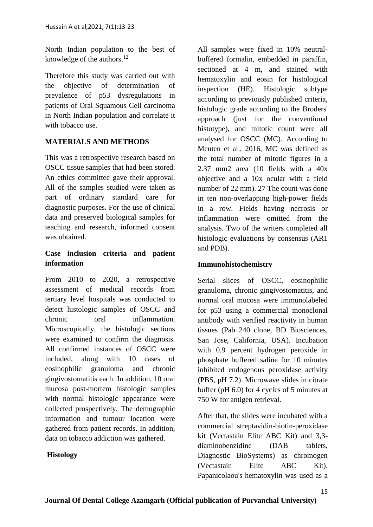North Indian population to the best of knowledge of the authors. $^{12}$ 

Therefore this study was carried out with the objective of determination of prevalence of p53 dysregulations in patients of Oral Squamous Cell carcinoma in North Indian population and correlate it with tobacco use.

## **MATERIALS AND METHODS**

This was a retrospective research based on OSCC tissue samples that had been stored. An ethics committee gave their approval. All of the samples studied were taken as part of ordinary standard care for diagnostic purposes. For the use of clinical data and preserved biological samples for teaching and research, informed consent was obtained.

## **Case inclusion criteria and patient information**

From 2010 to 2020, a retrospective assessment of medical records from tertiary level hospitals was conducted to detect histologic samples of OSCC and chronic oral inflammation. Microscopically, the histologic sections were examined to confirm the diagnosis. All confirmed instances of OSCC were included, along with 10 cases of eosinophilic granuloma and chronic gingivostomatitis each. In addition, 10 oral mucosa post-mortem histologic samples with normal histologic appearance were collected prospectively. The demographic information and tumour location were gathered from patient records. In addition, data on tobacco addiction was gathered.

#### **Histology**

All samples were fixed in 10% neutralbuffered formalin, embedded in paraffin, sectioned at 4 m, and stained with hematoxylin and eosin for histological inspection (HE). Histologic subtype according to previously published criteria, histologic grade according to the Broders' approach (just for the conventional histotype), and mitotic count were all analysed for OSCC (MC). According to Meuten et al., 2016, MC was defined as the total number of mitotic figures in a 2.37 mm2 area (10 fields with a 40x objective and a 10x ocular with a field number of 22 mm). 27 The count was done in ten non-overlapping high-power fields in a row. Fields having necrosis or inflammation were omitted from the analysis. Two of the writers completed all histologic evaluations by consensus (AR1 and PDB).

#### **Immunohistochemistry**

Serial slices of OSCC, eosinophilic granuloma, chronic gingivostomatitis, and normal oral mucosa were immunolabeled for p53 using a commercial monoclonal antibody with verified reactivity in human tissues (Pab 240 clone, BD Biosciences, San Jose, California, USA). Incubation with 0.9 percent hydrogen peroxide in phosphate buffered saline for 10 minutes inhibited endogenous peroxidase activity (PBS, pH 7.2). Microwave slides in citrate buffer (pH 6.0) for 4 cycles of 5 minutes at 750 W for antigen retrieval.

After that, the slides were incubated with a commercial streptavidin-biotin-peroxidase kit (Vectastain Elite ABC Kit) and 3,3 diaminobenzidine (DAB tablets, Diagnostic BioSystems) as chromogen (Vectastain Elite ABC Kit). Papanicolaou's hematoxylin was used as a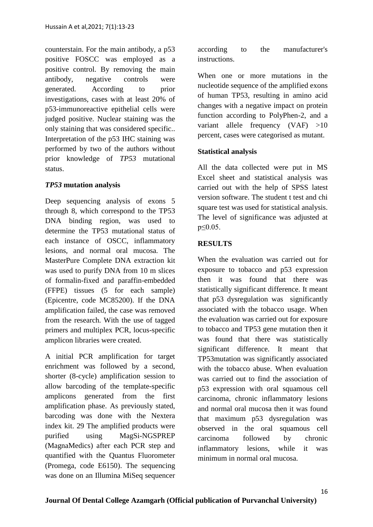counterstain. For the main antibody, a p53 positive FOSCC was employed as a positive control. By removing the main antibody, negative controls were generated. According to prior investigations, cases with at least 20% of p53-immunoreactive epithelial cells were judged positive. Nuclear staining was the only staining that was considered specific.. Interpretation of the p53 IHC staining was performed by two of the authors without prior knowledge of *TP53* mutational status.

### *TP53* **mutation analysis**

Deep sequencing analysis of exons 5 through 8, which correspond to the TP53 DNA binding region, was used to determine the TP53 mutational status of each instance of OSCC, inflammatory lesions, and normal oral mucosa. The MasterPure Complete DNA extraction kit was used to purify DNA from 10 m slices of formalin-fixed and paraffin-embedded (FFPE) tissues (5 for each sample) (Epicentre, code MC85200). If the DNA amplification failed, the case was removed from the research. With the use of tagged primers and multiplex PCR, locus-specific amplicon libraries were created.

A initial PCR amplification for target enrichment was followed by a second, shorter (8-cycle) amplification session to allow barcoding of the template-specific amplicons generated from the first amplification phase. As previously stated, barcoding was done with the Nextera index kit. 29 The amplified products were purified using MagSi-NGSPREP (MagnaMedics) after each PCR step and quantified with the Quantus Fluorometer (Promega, code E6150). The sequencing was done on an Illumina MiSeq sequencer according to the manufacturer's instructions.

When one or more mutations in the nucleotide sequence of the amplified exons of human TP53, resulting in amino acid changes with a negative impact on protein function according to PolyPhen-2, and a variant allele frequency (VAF) >10 percent, cases were categorised as mutant.

#### **Statistical analysis**

All the data collected were put in MS Excel sheet and statistical analysis was carried out with the help of SPSS latest version software. The student t test and chi square test was used for statistical analysis. The level of significance was adjusted at p≤0.05.

### **RESULTS**

When the evaluation was carried out for exposure to tobacco and p53 expression then it was found that there was statistically significant difference. It meant that p53 dysregulation was significantly associated with the tobacco usage. When the evaluation was carried out for exposure to tobacco and TP53 gene mutation then it was found that there was statistically significant difference. It meant that TP53mutation was significantly associated with the tobacco abuse. When evaluation was carried out to find the association of p53 expression with oral squamous cell carcinoma, chronic inflammatory lesions and normal oral mucosa then it was found that maximum p53 dysregulation was observed in the oral squamous cell carcinoma followed by chronic inflammatory lesions, while it was minimum in normal oral mucosa.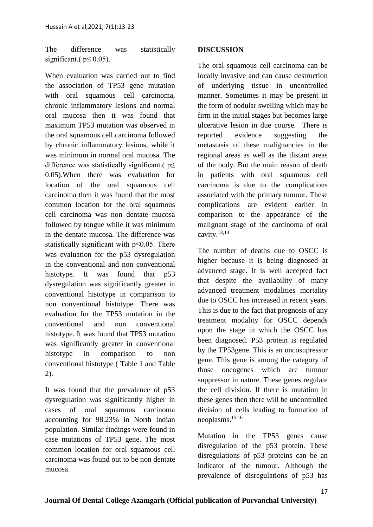The difference was statistically significant.( $p \le 0.05$ ).

When evaluation was carried out to find the association of TP53 gene mutation with oral squamous cell carcinoma, chronic inflammatory lesions and normal oral mucosa then it was found that maximum TP53 mutation was observed in the oral squamous cell carcinoma followed by chronic inflammatory lesions, while it was minimum in normal oral mucosa. The difference was statistically significant.( p ≤ 0.05).When there was evaluation for location of the oral squamous cell carcinoma then it was found that the most common location for the oral squamous cell carcinoma was non dentate mucosa followed by tongue while it was minimum in the dentate mucosa. The difference was statistically significant with p≤0.05. There was evaluation for the p53 dysregulation in the conventional and non conventional histotype. It was found that p53 dysregulation was significantly greater in conventional histotype in comparison to non conventional histotype. There was evaluation for the TP53 mutation in the conventional and non conventional histotype. It was found that TP53 mutation was significantly greater in conventional histotype in comparison to non conventional histotype ( Table 1 and Table 2).

It was found that the prevalence of p53 dysregulation was significantly higher in cases of oral squamous carcinoma accounting for 98.23% in North Indian population. Similar findings were found in case mutations of TP53 gene. The most common location for oral squamous cell carcinoma was found out to be non dentate mucosa.

#### **DISCUSSION**

The oral squamous cell carcinoma can be locally invasive and can cause destruction of underlying tissue in uncontrolled manner. Sometimes it may be present in the form of nodular swelling which may be firm in the initial stages but becomes large ulcerative lesion in due course. There is reported evidence suggesting the metastasis of these malignancies in the regional areas as well as the distant areas of the body. But the main reason of death in patients with oral squamous cell carcinoma is due to the complications associated with the primary tumour. These complications are evident earlier in comparison to the appearance of the malignant stage of the carcinoma of oral cavity.13,14

The number of deaths due to OSCC is higher because it is being diagnosed at advanced stage. It is well accepted fact that despite the availability of many advanced treatment modalities mortality due to OSCC has increased in recent years. This is due to the fact that prognosis of any treatment modality for OSCC depends upon the stage in which the OSCC has been diagnosed. P53 protein is regulated by the TP53gene. This is an oncosupressor gene. This gene is among the category of those oncogenes which are tumour suppressor in nature. These genes regulate the cell division. If there is mutation in these genes then there will be uncontrolled division of cells leading to formation of neoplasms.15,16

Mutation in the TP53 genes cause disregulation of the p53 protein. These disregulations of p53 proteins can be an indicator of the tumour. Although the prevalence of disregulations of p53 has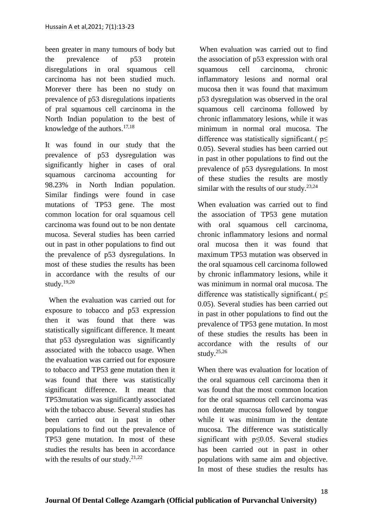been greater in many tumours of body but the prevalence of p53 protein disregulations in oral squamous cell carcinoma has not been studied much. Morever there has been no study on prevalence of p53 disregulations inpatients of pral squamous cell carcinoma in the North Indian population to the best of knowledge of the authors. $17,18$ 

It was found in our study that the prevalence of p53 dysregulation was significantly higher in cases of oral squamous carcinoma accounting for 98.23% in North Indian population. Similar findings were found in case mutations of TP53 gene. The most common location for oral squamous cell carcinoma was found out to be non dentate mucosa. Several studies has been carried out in past in other populations to find out the prevalence of p53 dysregulations. In most of these studies the results has been in accordance with the results of our study. $19,20$ 

 When the evaluation was carried out for exposure to tobacco and p53 expression then it was found that there was statistically significant difference. It meant that p53 dysregulation was significantly associated with the tobacco usage. When the evaluation was carried out for exposure to tobacco and TP53 gene mutation then it was found that there was statistically significant difference. It meant that TP53mutation was significantly associated with the tobacco abuse. Several studies has been carried out in past in other populations to find out the prevalence of TP53 gene mutation. In most of these studies the results has been in accordance with the results of our study. $21,22$ 

When evaluation was carried out to find the association of p53 expression with oral squamous cell carcinoma, chronic inflammatory lesions and normal oral mucosa then it was found that maximum p53 dysregulation was observed in the oral squamous cell carcinoma followed by chronic inflammatory lesions, while it was minimum in normal oral mucosa. The difference was statistically significant.( $p \leq$ 0.05). Several studies has been carried out in past in other populations to find out the prevalence of p53 dysregulations. In most of these studies the results are mostly similar with the results of our study. $23,24$ 

When evaluation was carried out to find the association of TP53 gene mutation with oral squamous cell carcinoma, chronic inflammatory lesions and normal oral mucosa then it was found that maximum TP53 mutation was observed in the oral squamous cell carcinoma followed by chronic inflammatory lesions, while it was minimum in normal oral mucosa. The difference was statistically significant.( $p$  < 0.05). Several studies has been carried out in past in other populations to find out the prevalence of TP53 gene mutation. In most of these studies the results has been in accordance with the results of our study. $25,26$ 

When there was evaluation for location of the oral squamous cell carcinoma then it was found that the most common location for the oral squamous cell carcinoma was non dentate mucosa followed by tongue while it was minimum in the dentate mucosa. The difference was statistically significant with p≤0.05. Several studies has been carried out in past in other populations with same aim and objective. In most of these studies the results has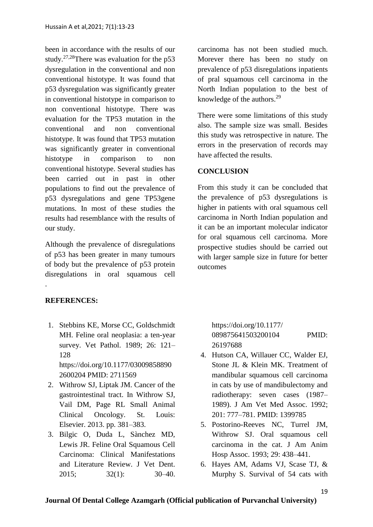been in accordance with the results of our study.<sup>27,28</sup>There was evaluation for the  $p53$ dysregulation in the conventional and non conventional histotype. It was found that p53 dysregulation was significantly greater in conventional histotype in comparison to non conventional histotype. There was evaluation for the TP53 mutation in the conventional and non conventional histotype. It was found that TP53 mutation was significantly greater in conventional histotype in comparison to non conventional histotype. Several studies has been carried out in past in other populations to find out the prevalence of p53 dysregulations and gene TP53gene mutations. In most of these studies the results had resemblance with the results of our study.

Although the prevalence of disregulations of p53 has been greater in many tumours of body but the prevalence of p53 protein disregulations in oral squamous cell

**REFERENCES:**

.

- 1. Stebbins KE, Morse CC, Goldschmidt MH. Feline oral neoplasia: a ten-year survey. Vet Pathol. 1989; 26: 121– 128 https://doi.org/10.1177/03009858890 2600204 PMID: 2711569
- 2. Withrow SJ, Liptak JM. Cancer of the gastrointestinal tract. In Withrow SJ, Vail DM, Page RL Small Animal Clinical Oncology. St. Louis: Elsevier. 2013. pp. 381–383.
- 3. Bilgic O, Duda L, Sànchez MD, Lewis JR. Feline Oral Squamous Cell Carcinoma: Clinical Manifestations and Literature Review. J Vet Dent. 2015; 32(1): 30–40.

carcinoma has not been studied much. Morever there has been no study on prevalence of p53 disregulations inpatients of pral squamous cell carcinoma in the North Indian population to the best of knowledge of the authors.<sup>29</sup>

There were some limitations of this study also. The sample size was small. Besides this study was retrospective in nature. The errors in the preservation of records may have affected the results.

## **CONCLUSION**

From this study it can be concluded that the prevalence of p53 dysregulations is higher in patients with oral squamous cell carcinoma in North Indian population and it can be an important molecular indicator for oral squamous cell carcinoma. More prospective studies should be carried out with larger sample size in future for better outcomes

https://doi.org/10.1177/ 089875641503200104 PMID: 26197688

- 4. Hutson CA, Willauer CC, Walder EJ, Stone JL & Klein MK. Treatment of mandibular squamous cell carcinoma in cats by use of mandibulectomy and radiotherapy: seven cases (1987– 1989). J Am Vet Med Assoc. 1992; 201: 777–781. PMID: 1399785
- 5. Postorino-Reeves NC, Turrel JM, Withrow SJ. Oral squamous cell carcinoma in the cat. J Am Anim Hosp Assoc. 1993; 29: 438–441.
- 6. Hayes AM, Adams VJ, Scase TJ, & Murphy S. Survival of 54 cats with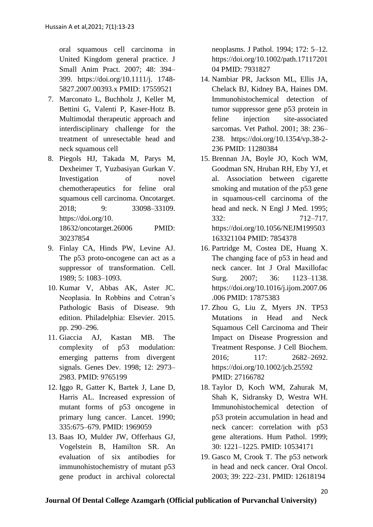oral squamous cell carcinoma in United Kingdom general practice. J Small Anim Pract. 2007; 48: 394– 399. https://doi.org/10.1111/j. 1748- 5827.2007.00393.x PMID: 17559521

- 7. Marconato L, Buchholz J, Keller M, Bettini G, Valenti P, Kaser-Hotz B. Multimodal therapeutic approach and interdisciplinary challenge for the treatment of unresectable head and neck squamous cell
- 8. Piegols HJ, Takada M, Parys M, Dexheimer T, Yuzbasiyan Gurkan V. Investigation of novel chemotherapeutics for feline oral squamous cell carcinoma. Oncotarget. 2018; 9: 33098–33109. https://doi.org/10. 18632/oncotarget.26006 PMID: 30237854
- 9. Finlay CA, Hinds PW, Levine AJ. The p53 proto-oncogene can act as a suppressor of transformation. Cell. 1989; 5: 1083–1093.
- 10. Kumar V, Abbas AK, Aster JC. Neoplasia. In Robbins and Cotran's Pathologic Basis of Disease. 9th edition. Philadelphia: Elsevier. 2015. pp. 290–296.
- 11. Giaccia AJ, Kastan MB. The complexity of p53 modulation: emerging patterns from divergent signals. Genes Dev. 1998; 12: 2973– 2983. PMID: 9765199
- 12. Iggo R, Gatter K, Bartek J, Lane D, Harris AL. Increased expression of mutant forms of p53 oncogene in primary lung cancer. Lancet. 1990; 335:675–679. PMID: 1969059
- 13. Baas IO, Mulder JW, Offerhaus GJ, Vogelstein B, Hamilton SR. An evaluation of six antibodies for immunohistochemistry of mutant p53 gene product in archival colorectal

neoplasms. J Pathol. 1994; 172: 5–12. https://doi.org/10.1002/path.17117201 04 PMID: 7931827

- 14. Nambiar PR, Jackson ML, Ellis JA, Chelack BJ, Kidney BA, Haines DM. Immunohistochemical detection of tumor suppressor gene p53 protein in feline injection site-associated sarcomas. Vet Pathol. 2001; 38: 236– 238. https://doi.org/10.1354/vp.38-2- 236 PMID: 11280384
- 15. Brennan JA, Boyle JO, Koch WM, Goodman SN, Hruban RH, Eby YJ, et al. Association between cigarette smoking and mutation of the p53 gene in squamous-cell carcinoma of the head and neck. N Engl J Med. 1995; 332: 712–717. https://doi.org/10.1056/NEJM199503 163321104 PMID: 7854378
- 16. Partridge M, Costea DE, Huang X. The changing face of p53 in head and neck cancer. Int J Oral Maxillofac Surg. 2007: 36: 1123–1138. https://doi.org/10.1016/j.ijom.2007.06 .006 PMID: 17875383
- 17. Zhou G, Liu Z, Myers JN. TP53 Mutations in Head and Neck Squamous Cell Carcinoma and Their Impact on Disease Progression and Treatment Response. J Cell Biochem. 2016; 117: 2682–2692. https://doi.org/10.1002/jcb.25592 PMID: 27166782
- 18. Taylor D, Koch WM, Zahurak M, Shah K, Sidransky D, Westra WH. Immunohistochemical detection of p53 protein accumulation in head and neck cancer: correlation with p53 gene alterations. Hum Pathol. 1999; 30: 1221–1225. PMID: 10534171
- 19. Gasco M, Crook T. The p53 network in head and neck cancer. Oral Oncol. 2003; 39: 222–231. PMID: 12618194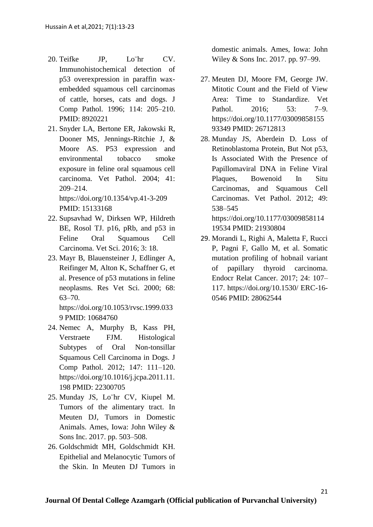- 20. Teifke JP, Lo¨hr CV. Immunohistochemical detection of p53 overexpression in paraffin waxembedded squamous cell carcinomas of cattle, horses, cats and dogs. J Comp Pathol. 1996; 114: 205–210. PMID: 8920221
- 21. Snyder LA, Bertone ER, Jakowski R, Dooner MS, Jennings-Ritchie J, & Moore AS. P53 expression and environmental tobacco smoke exposure in feline oral squamous cell carcinoma. Vet Pathol. 2004; 41: 209–214. https://doi.org/10.1354/vp.41-3-209

PMID: 15133168

- 22. Supsavhad W, Dirksen WP, Hildreth BE, Rosol TJ. p16, pRb, and p53 in Feline Oral Squamous Cell Carcinoma. Vet Sci. 2016; 3: 18.
- 23. Mayr B, Blauensteiner J, Edlinger A, Reifinger M, Alton K, Schaffner G, et al. Presence of p53 mutations in feline neoplasms. Res Vet Sci. 2000; 68: 63–70.

https://doi.org/10.1053/rvsc.1999.033 9 PMID: 10684760

- 24. Nemec A, Murphy B, Kass PH, Verstraete FJM. Histological Subtypes of Oral Non-tonsillar Squamous Cell Carcinoma in Dogs. J Comp Pathol. 2012; 147: 111–120. https://doi.org/10.1016/j.jcpa.2011.11. 198 PMID: 22300705
- 25. Munday JS, Lo¨hr CV, Kiupel M. Tumors of the alimentary tract. In Meuten DJ, Tumors in Domestic Animals. Ames, Iowa: John Wiley & Sons Inc. 2017. pp. 503–508.
- 26. Goldschmidt MH, Goldschmidt KH. Epithelial and Melanocytic Tumors of the Skin. In Meuten DJ Tumors in

domestic animals. Ames, Iowa: John Wiley & Sons Inc. 2017. pp. 97–99.

- 27. Meuten DJ, Moore FM, George JW. Mitotic Count and the Field of View Area: Time to Standardize. Vet Pathol. 2016: 53: 7–9. https://doi.org/10.1177/03009858155 93349 PMID: 26712813
- 28. Munday JS, Aberdein D. Loss of Retinoblastoma Protein, But Not p53, Is Associated With the Presence of Papillomaviral DNA in Feline Viral Plaques, Bowenoid In Situ Carcinomas, and Squamous Cell Carcinomas. Vet Pathol. 2012; 49: 538–545 https://doi.org/10.1177/03009858114

19534 PMID: 21930804

29. Morandi L, Righi A, Maletta F, Rucci P, Pagni F, Gallo M, et al. Somatic mutation profiling of hobnail variant of papillary thyroid carcinoma. Endocr Relat Cancer. 2017; 24: 107– 117. https://doi.org/10.1530/ ERC-16- 0546 PMID: 28062544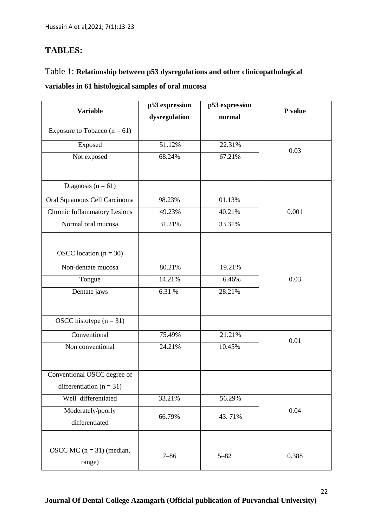## **TABLES:**

# Table 1: **Relationship between p53 dysregulations and other clinicopathological variables in 61 histological samples of oral mucosa**

| <b>Variable</b>                       | p53 expression<br>p53 expression |          | P value |
|---------------------------------------|----------------------------------|----------|---------|
|                                       | dysregulation                    | normal   |         |
| Exposure to Tobacco $(n = 61)$        |                                  |          |         |
| Exposed                               | 51.12%                           | 22.31%   | 0.03    |
| Not exposed                           | 68.24%                           | 67.21%   |         |
|                                       |                                  |          |         |
| Diagnosis ( $n = 61$ )                |                                  |          |         |
| Oral Squamous Cell Carcinoma          | 98.23%                           | 01.13%   | 0.001   |
| <b>Chronic Inflammatory Lesions</b>   | 49.23%                           | 40.21%   |         |
| Normal oral mucosa                    | 31.21%                           | 33.31%   |         |
|                                       |                                  |          |         |
| OSCC location $(n = 30)$              |                                  |          |         |
| Non-dentate mucosa                    | 80.21%                           | 19.21%   | 0.03    |
| Tongue                                | 14.21%                           | 6.46%    |         |
| Dentate jaws                          | 6.31 %                           | 28.21%   |         |
|                                       |                                  |          |         |
| OSCC histotype $(n = 31)$             |                                  |          |         |
| Conventional                          | 75.49%                           | 21.21%   | 0.01    |
| Non conventional                      | 24.21%                           | 10.45%   |         |
|                                       |                                  |          |         |
| Conventional OSCC degree of           |                                  |          |         |
| differentiation ( $n = 31$ )          |                                  |          |         |
| Well differentiated                   | 33.21%                           | 56.29%   |         |
| Moderately/poorly<br>differentiated   | 66.79%                           | 43.71%   | 0.04    |
|                                       |                                  |          |         |
| OSCC MC $(n = 31)$ (median,<br>range) | $7 - 86$                         | $5 - 82$ | 0.388   |